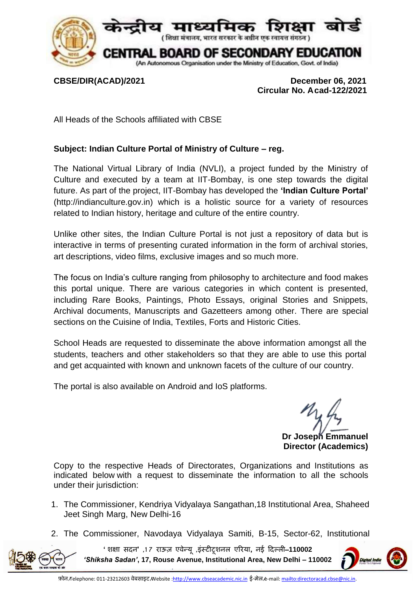

**CBSE/DIR(ACAD)/2021 December 06, 2021 Circular No. Acad-122/2021**

All Heads of the Schools affiliated with CBSE

## **Subject: Indian Culture Portal of Ministry of Culture – reg.**

The National Virtual Library of India (NVLI), a project funded by the Ministry of Culture and executed by a team at IIT-Bombay, is one step towards the digital future. As part of the project, IIT-Bombay has developed the **'Indian Culture Portal'** (http://indianculture.gov.in) which is a holistic source for a variety of resources related to Indian history, heritage and culture of the entire country.

Unlike other sites, the Indian Culture Portal is not just a repository of data but is interactive in terms of presenting curated information in the form of archival stories, art descriptions, video films, exclusive images and so much more.

The focus on India's culture ranging from philosophy to architecture and food makes this portal unique. There are various categories in which content is presented, including Rare Books, Paintings, Photo Essays, original Stories and Snippets, Archival documents, Manuscripts and Gazetteers among other. There are special sections on the Cuisine of India, Textiles, Forts and Historic Cities.

School Heads are requested to disseminate the above information amongst all the students, teachers and other stakeholders so that they are able to use this portal and get acquainted with known and unknown facets of the culture of our country.

The portal is also available on Android and IoS platforms.

**Dr Joseph Emmanuel Director (Academics)**

Copy to the respective Heads of Directorates, Organizations and Institutions as indicated below with a request to disseminate the information to all the schools under their jurisdiction:

- 1. The Commissioner, Kendriya Vidyalaya Sangathan,18 Institutional Area, Shaheed Jeet Singh Marg, New Delhi-16
- 2. The Commissioner, Navodaya Vidyalaya Samiti, B-15, Sector-62, Institutional

**'शिक्षा सदन' ,7 1 राऊज़ एवेन्य , ू इंस्टीटूिनल एररया, नई ददल्ली**–**110002**  *'Shiksha Sadan'***, 17, Rouse Avenue, Institutional Area, New Delhi – 110002**

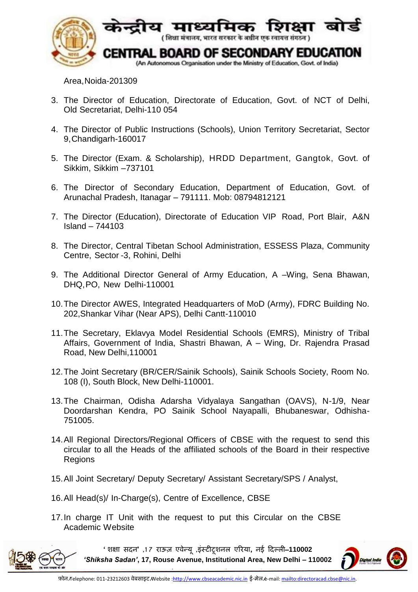

Area,Noida-201309

- 3. The Director of Education, Directorate of Education, Govt. of NCT of Delhi, Old Secretariat, Delhi-110 054
- 4. The Director of Public Instructions (Schools), Union Territory Secretariat, Sector 9,Chandigarh-160017
- 5. The Director (Exam. & Scholarship), HRDD Department, Gangtok, Govt. of Sikkim, Sikkim –737101
- 6. The Director of Secondary Education, Department of Education, Govt. of Arunachal Pradesh, Itanagar – 791111. Mob: 08794812121
- 7. The Director (Education), Directorate of Education VIP Road, Port Blair, A&N Island – 744103
- 8. The Director, Central Tibetan School Administration, ESSESS Plaza, Community Centre, Sector -3, Rohini, Delhi
- 9. The Additional Director General of Army Education, A –Wing, Sena Bhawan, DHQ,PO, New Delhi-110001
- 10.The Director AWES, Integrated Headquarters of MoD (Army), FDRC Building No. 202,Shankar Vihar (Near APS), Delhi Cantt-110010
- 11.The Secretary, Eklavya Model Residential Schools (EMRS), Ministry of Tribal Affairs, Government of India, Shastri Bhawan, A – [Wing, Dr. Rajendra Prasad](http://tribal.gov.in/)  [Road, New Delhi,110001](http://tribal.gov.in/)
- 12.The Joint Secretary (BR/CER/Sainik Schools), Sainik Schools Society, Room No. 108 (I), South Block, New Delhi-110001.
- 13.The Chairman, Odisha Adarsha Vidyalaya Sangathan (OAVS), N-1/9, Near Doordarshan Kendra, PO Sainik School Nayapalli, Bhubaneswar, Odhisha-751005.
- 14.All Regional Directors/Regional Officers of CBSE with the request to send this circular to all the Heads of the affiliated schools of the Board in their respective Regions
- 15. All Joint Secretary/ Deputy Secretary/ Assistant Secretary/SPS / Analyst,
- 16.All Head(s)/ In-Charge(s), Centre of Excellence, CBSE
- 17.In charge IT Unit with the request to put this Circular on the CBSE Academic Website



**'शिक्षा सदन' ,7 1 राऊज़ एवेन्य , ू इंस्टीटूिनल एररया, नई ददल्ली**–**110002**  *'Shiksha Sadan'***, 17, Rouse Avenue, Institutional Area, New Delhi – 110002**